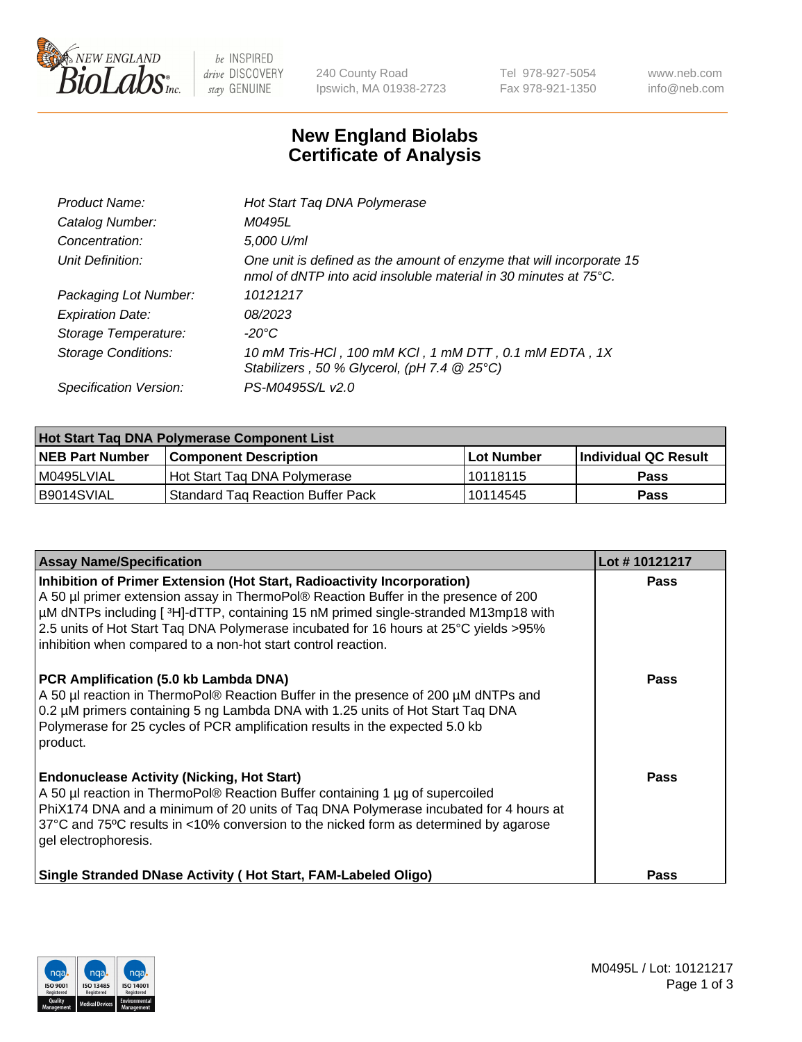

 $be$  INSPIRED drive DISCOVERY stay GENUINE

240 County Road Ipswich, MA 01938-2723 Tel 978-927-5054 Fax 978-921-1350 www.neb.com info@neb.com

## **New England Biolabs Certificate of Analysis**

| Product Name:           | Hot Start Taq DNA Polymerase                                                                                                                       |
|-------------------------|----------------------------------------------------------------------------------------------------------------------------------------------------|
| Catalog Number:         | M0495L                                                                                                                                             |
| Concentration:          | 5,000 U/ml                                                                                                                                         |
| Unit Definition:        | One unit is defined as the amount of enzyme that will incorporate 15<br>nmol of dNTP into acid insoluble material in 30 minutes at $75^{\circ}$ C. |
| Packaging Lot Number:   | 10121217                                                                                                                                           |
| <b>Expiration Date:</b> | 08/2023                                                                                                                                            |
| Storage Temperature:    | $-20^{\circ}$ C                                                                                                                                    |
| Storage Conditions:     | 10 mM Tris-HCl, 100 mM KCl, 1 mM DTT, 0.1 mM EDTA, 1X<br>Stabilizers, 50 % Glycerol, (pH 7.4 @ 25°C)                                               |
| Specification Version:  | PS-M0495S/L v2.0                                                                                                                                   |

| <b>Hot Start Tag DNA Polymerase Component List</b> |                                   |                   |                      |  |  |
|----------------------------------------------------|-----------------------------------|-------------------|----------------------|--|--|
| <b>NEB Part Number</b>                             | <b>Component Description</b>      | <b>Lot Number</b> | Individual QC Result |  |  |
| I M0495LVIAL                                       | Hot Start Tag DNA Polymerase      | 10118115          | <b>Pass</b>          |  |  |
| B9014SVIAL                                         | Standard Tag Reaction Buffer Pack | 10114545          | <b>Pass</b>          |  |  |

| <b>Assay Name/Specification</b>                                                                                                                                                                                                                                                                                                                                                                                | Lot #10121217 |
|----------------------------------------------------------------------------------------------------------------------------------------------------------------------------------------------------------------------------------------------------------------------------------------------------------------------------------------------------------------------------------------------------------------|---------------|
| Inhibition of Primer Extension (Hot Start, Radioactivity Incorporation)<br>A 50 µl primer extension assay in ThermoPol® Reaction Buffer in the presence of 200<br>µM dNTPs including [3H]-dTTP, containing 15 nM primed single-stranded M13mp18 with<br>2.5 units of Hot Start Taq DNA Polymerase incubated for 16 hours at 25°C yields > 95%<br>inhibition when compared to a non-hot start control reaction. | <b>Pass</b>   |
| PCR Amplification (5.0 kb Lambda DNA)<br>A 50 µl reaction in ThermoPol® Reaction Buffer in the presence of 200 µM dNTPs and<br>0.2 µM primers containing 5 ng Lambda DNA with 1.25 units of Hot Start Taq DNA<br>Polymerase for 25 cycles of PCR amplification results in the expected 5.0 kb<br>product.                                                                                                      | Pass          |
| <b>Endonuclease Activity (Nicking, Hot Start)</b><br>A 50 µl reaction in ThermoPol® Reaction Buffer containing 1 µg of supercoiled<br>PhiX174 DNA and a minimum of 20 units of Taq DNA Polymerase incubated for 4 hours at<br>37°C and 75°C results in <10% conversion to the nicked form as determined by agarose<br>gel electrophoresis.                                                                     | Pass          |
| Single Stranded DNase Activity (Hot Start, FAM-Labeled Oligo)                                                                                                                                                                                                                                                                                                                                                  | Pass          |

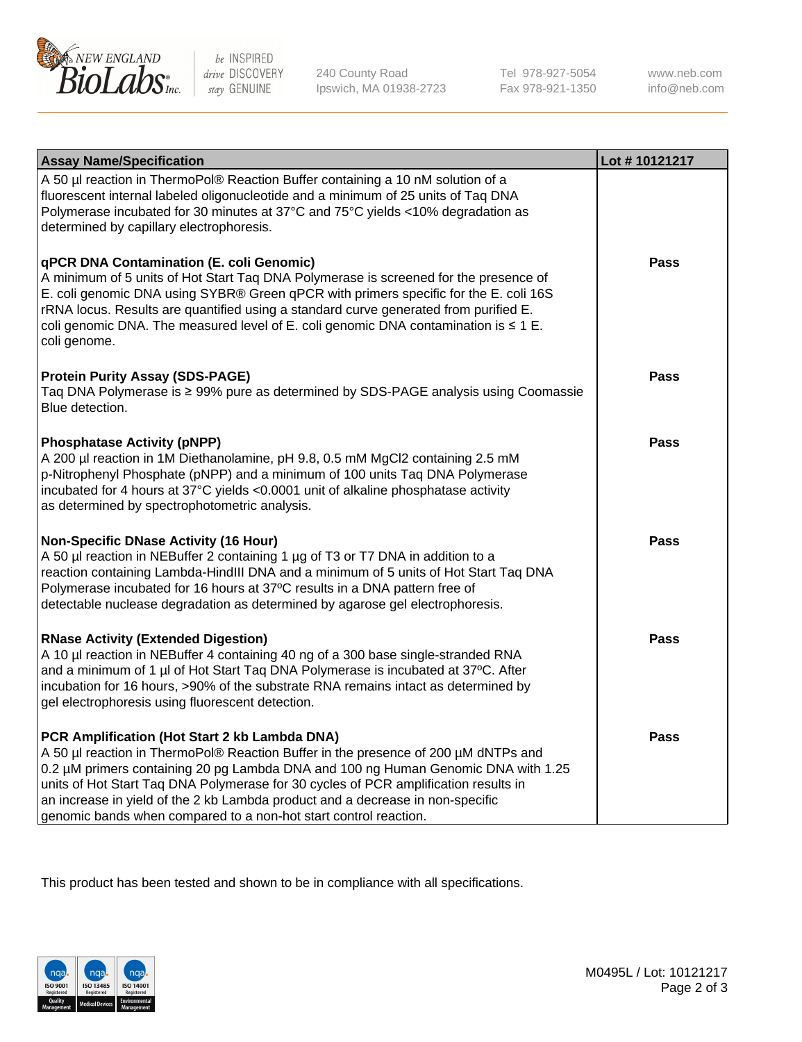

 $be$  INSPIRED drive DISCOVERY stay GENUINE

240 County Road Ipswich, MA 01938-2723 Tel 978-927-5054 Fax 978-921-1350 www.neb.com info@neb.com

| <b>Assay Name/Specification</b>                                                                                                                                                                                                                                                                                                                                                                                                                                       | Lot #10121217 |
|-----------------------------------------------------------------------------------------------------------------------------------------------------------------------------------------------------------------------------------------------------------------------------------------------------------------------------------------------------------------------------------------------------------------------------------------------------------------------|---------------|
| A 50 µl reaction in ThermoPol® Reaction Buffer containing a 10 nM solution of a<br>fluorescent internal labeled oligonucleotide and a minimum of 25 units of Taq DNA<br>Polymerase incubated for 30 minutes at 37°C and 75°C yields <10% degradation as<br>determined by capillary electrophoresis.                                                                                                                                                                   |               |
| qPCR DNA Contamination (E. coli Genomic)<br>A minimum of 5 units of Hot Start Taq DNA Polymerase is screened for the presence of<br>E. coli genomic DNA using SYBR® Green qPCR with primers specific for the E. coli 16S<br>rRNA locus. Results are quantified using a standard curve generated from purified E.<br>coli genomic DNA. The measured level of E. coli genomic DNA contamination is $\leq 1$ E.<br>coli genome.                                          | Pass          |
| <b>Protein Purity Assay (SDS-PAGE)</b><br>Taq DNA Polymerase is ≥ 99% pure as determined by SDS-PAGE analysis using Coomassie<br>Blue detection.                                                                                                                                                                                                                                                                                                                      | Pass          |
| <b>Phosphatase Activity (pNPP)</b><br>A 200 µl reaction in 1M Diethanolamine, pH 9.8, 0.5 mM MgCl2 containing 2.5 mM<br>p-Nitrophenyl Phosphate (pNPP) and a minimum of 100 units Taq DNA Polymerase<br>incubated for 4 hours at 37°C yields <0.0001 unit of alkaline phosphatase activity<br>as determined by spectrophotometric analysis.                                                                                                                           | Pass          |
| <b>Non-Specific DNase Activity (16 Hour)</b><br>A 50 µl reaction in NEBuffer 2 containing 1 µg of T3 or T7 DNA in addition to a<br>reaction containing Lambda-HindIII DNA and a minimum of 5 units of Hot Start Taq DNA<br>Polymerase incubated for 16 hours at 37°C results in a DNA pattern free of<br>detectable nuclease degradation as determined by agarose gel electrophoresis.                                                                                | Pass          |
| <b>RNase Activity (Extended Digestion)</b><br>A 10 µl reaction in NEBuffer 4 containing 40 ng of a 300 base single-stranded RNA<br>and a minimum of 1 µl of Hot Start Taq DNA Polymerase is incubated at 37°C. After<br>incubation for 16 hours, >90% of the substrate RNA remains intact as determined by<br>gel electrophoresis using fluorescent detection.                                                                                                        | Pass          |
| PCR Amplification (Hot Start 2 kb Lambda DNA)<br>A 50 µl reaction in ThermoPol® Reaction Buffer in the presence of 200 µM dNTPs and<br>0.2 µM primers containing 20 pg Lambda DNA and 100 ng Human Genomic DNA with 1.25<br>units of Hot Start Taq DNA Polymerase for 30 cycles of PCR amplification results in<br>an increase in yield of the 2 kb Lambda product and a decrease in non-specific<br>genomic bands when compared to a non-hot start control reaction. | Pass          |

This product has been tested and shown to be in compliance with all specifications.